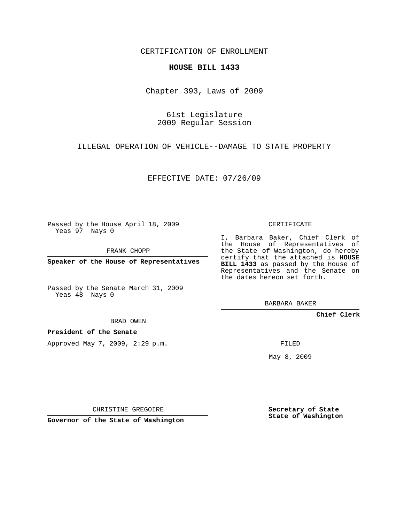CERTIFICATION OF ENROLLMENT

## **HOUSE BILL 1433**

Chapter 393, Laws of 2009

61st Legislature 2009 Regular Session

ILLEGAL OPERATION OF VEHICLE--DAMAGE TO STATE PROPERTY

EFFECTIVE DATE: 07/26/09

Passed by the House April 18, 2009 Yeas 97 Nays 0

FRANK CHOPP

**Speaker of the House of Representatives**

Passed by the Senate March 31, 2009 Yeas 48 Nays 0

BARBARA BAKER

**Chief Clerk**

**President of the Senate**

Approved May 7, 2009, 2:29 p.m.

FILED

May 8, 2009

**Secretary of State State of Washington**

CERTIFICATE

I, Barbara Baker, Chief Clerk of the House of Representatives of the State of Washington, do hereby certify that the attached is **HOUSE BILL 1433** as passed by the House of Representatives and the Senate on the dates hereon set forth.

BRAD OWEN

CHRISTINE GREGOIRE

**Governor of the State of Washington**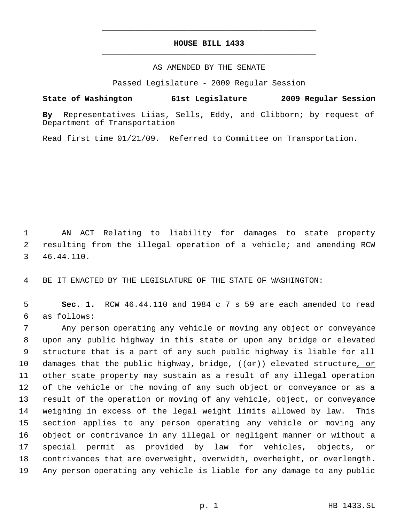## **HOUSE BILL 1433** \_\_\_\_\_\_\_\_\_\_\_\_\_\_\_\_\_\_\_\_\_\_\_\_\_\_\_\_\_\_\_\_\_\_\_\_\_\_\_\_\_\_\_\_\_

\_\_\_\_\_\_\_\_\_\_\_\_\_\_\_\_\_\_\_\_\_\_\_\_\_\_\_\_\_\_\_\_\_\_\_\_\_\_\_\_\_\_\_\_\_

## AS AMENDED BY THE SENATE

Passed Legislature - 2009 Regular Session

**State of Washington 61st Legislature 2009 Regular Session**

**By** Representatives Liias, Sells, Eddy, and Clibborn; by request of Department of Transportation

Read first time 01/21/09. Referred to Committee on Transportation.

 1 AN ACT Relating to liability for damages to state property 2 resulting from the illegal operation of a vehicle; and amending RCW 3 46.44.110.

4 BE IT ENACTED BY THE LEGISLATURE OF THE STATE OF WASHINGTON:

 5 **Sec. 1.** RCW 46.44.110 and 1984 c 7 s 59 are each amended to read 6 as follows:

 Any person operating any vehicle or moving any object or conveyance upon any public highway in this state or upon any bridge or elevated structure that is a part of any such public highway is liable for all 10 damages that the public highway, bridge,  $((\theta \cdot \hat{r}))$  elevated structure, or 11 other state property may sustain as a result of any illegal operation of the vehicle or the moving of any such object or conveyance or as a result of the operation or moving of any vehicle, object, or conveyance weighing in excess of the legal weight limits allowed by law. This section applies to any person operating any vehicle or moving any object or contrivance in any illegal or negligent manner or without a special permit as provided by law for vehicles, objects, or contrivances that are overweight, overwidth, overheight, or overlength. Any person operating any vehicle is liable for any damage to any public